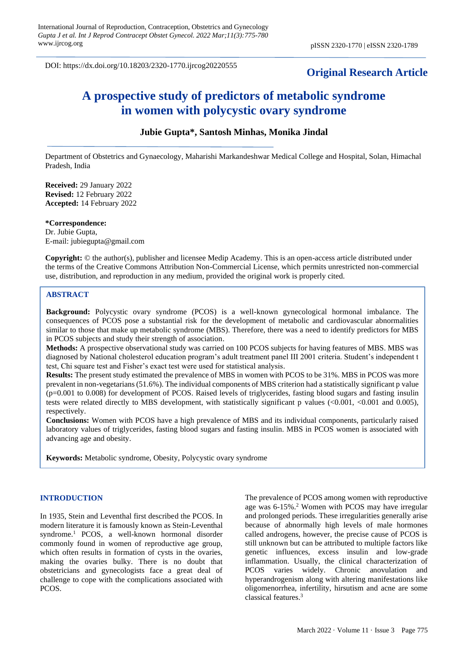DOI: https://dx.doi.org/10.18203/2320-1770.ijrcog20220555

## **Original Research Article**

# **A prospective study of predictors of metabolic syndrome in women with polycystic ovary syndrome**

## **Jubie Gupta\*, Santosh Minhas, Monika Jindal**

Department of Obstetrics and Gynaecology, Maharishi Markandeshwar Medical College and Hospital, Solan, Himachal Pradesh, India

**Received:** 29 January 2022 **Revised:** 12 February 2022 **Accepted:** 14 February 2022

**\*Correspondence:** Dr. Jubie Gupta, E-mail: jubiegupta@gmail.com

**Copyright:** © the author(s), publisher and licensee Medip Academy. This is an open-access article distributed under the terms of the Creative Commons Attribution Non-Commercial License, which permits unrestricted non-commercial use, distribution, and reproduction in any medium, provided the original work is properly cited.

#### **ABSTRACT**

**Background:** Polycystic ovary syndrome (PCOS) is a well-known gynecological hormonal imbalance. The consequences of PCOS pose a substantial risk for the development of metabolic and cardiovascular abnormalities similar to those that make up metabolic syndrome (MBS). Therefore, there was a need to identify predictors for MBS in PCOS subjects and study their strength of association.

**Methods:** A prospective observational study was carried on 100 PCOS subjects for having features of MBS. MBS was diagnosed by National cholesterol education program's adult treatment panel III 2001 criteria. Student's independent t test, Chi square test and Fisher's exact test were used for statistical analysis.

**Results:** The present study estimated the prevalence of MBS in women with PCOS to be 31%. MBS in PCOS was more prevalent in non-vegetarians (51.6%). The individual components of MBS criterion had a statistically significant p value (p=0.001 to 0.008) for development of PCOS. Raised levels of triglycerides, fasting blood sugars and fasting insulin tests were related directly to MBS development, with statistically significant p values (<0.001, <0.001 and 0.005), respectively.

**Conclusions:** Women with PCOS have a high prevalence of MBS and its individual components, particularly raised laboratory values of triglycerides, fasting blood sugars and fasting insulin. MBS in PCOS women is associated with advancing age and obesity.

**Keywords:** Metabolic syndrome, Obesity, Polycystic ovary syndrome

#### **INTRODUCTION**

In 1935, Stein and Leventhal first described the PCOS. In modern literature it is famously known as Stein-Leventhal syndrome.<sup>1</sup> PCOS, a well-known hormonal disorder commonly found in women of reproductive age group, which often results in formation of cysts in the ovaries, making the ovaries bulky. There is no doubt that obstetricians and gynecologists face a great deal of challenge to cope with the complications associated with PCOS.

The prevalence of PCOS among women with reproductive age was 6-15%.<sup>2</sup> Women with PCOS may have irregular and prolonged periods. These irregularities generally arise because of abnormally high levels of male hormones called androgens, however, the precise cause of PCOS is still unknown but can be attributed to multiple factors like genetic influences, excess insulin and low-grade inflammation. Usually, the clinical characterization of PCOS varies widely. Chronic anovulation and hyperandrogenism along with altering manifestations like oligomenorrhea, infertility, hirsutism and acne are some classical features.<sup>3</sup>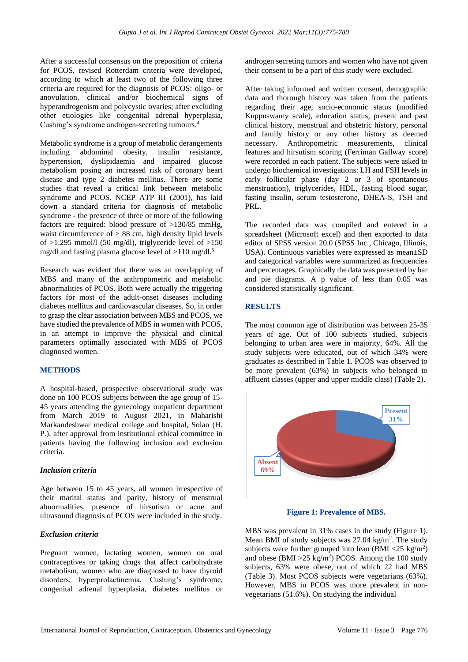After a successful consensus on the preposition of criteria for PCOS, revised Rotterdam criteria were developed, according to which at least two of the following three criteria are required for the diagnosis of PCOS: oligo- or anovulation, clinical and/or biochemical signs of hyperandrogenism and polycystic ovaries; after excluding other etiologies like congenital adrenal hyperplasia, Cushing's syndrome androgen-secreting tumours.<sup>4</sup>

Metabolic syndrome is a group of metabolic derangements including abdominal obesity, insulin resistance, hypertension, dyslipidaemia and impaired glucose metabolism posing an increased risk of coronary heart disease and type 2 diabetes mellitus. There are some studies that reveal a critical link between metabolic syndrome and PCOS. NCEP ATP III (2001), has laid down a standard criteria for diagnosis of metabolic syndrome - the presence of three or more of the following factors are required: blood pressure of >130/85 mmHg, waist circumference of  $> 88$  cm, high density lipid levels of  $>1.295$  mmol/l (50 mg/dl), triglyceride level of  $>150$ mg/dl and fasting plasma glucose level of  $>110$  mg/dl.<sup>5</sup>

Research was evident that there was an overlapping of MBS and many of the anthropometric and metabolic abnormalities of PCOS. Both were actually the triggering factors for most of the adult-onset diseases including diabetes mellitus and cardiovascular diseases. So, in order to grasp the clear association between MBS and PCOS, we have studied the prevalence of MBS in women with PCOS, in an attempt to improve the physical and clinical parameters optimally associated with MBS of PCOS diagnosed women.

## **METHODS**

A hospital-based, prospective observational study was done on 100 PCOS subjects between the age group of 15- 45 years attending the gynecology outpatient department from March 2019 to August 2021, in Maharishi Markandeshwar medical college and hospital, Solan (H. P.), after approval from institutional ethical committee in patients having the following inclusion and exclusion criteria.

## *Inclusion criteria*

Age between 15 to 45 years, all women irrespective of their marital status and parity, history of menstrual abnormalities, presence of hirsutism or acne and ultrasound diagnosis of PCOS were included in the study.

## *Exclusion criteria*

Pregnant women, lactating women, women on oral contraceptives or taking drugs that affect carbohydrate metabolism, women who are diagnosed to have thyroid disorders, hyperprolactinemia, Cushing's syndrome, congenital adrenal hyperplasia, diabetes mellitus or androgen secreting tumors and women who have not given their consent to be a part of this study were excluded.

After taking informed and written consent, demographic data and thorough history was taken from the patients regarding their age, socio-economic status (modified Kuppuswamy scale), education status, present and past clinical history, menstrual and obstetric history, personal and family history or any other history as deemed necessary. Anthropometric measurements, clinical features and hirsutism scoring (Ferriman Gallway score) were recorded in each patient. The subjects were asked to undergo biochemical investigations: LH and FSH levels in early follicular phase (day 2 or 3 of spontaneous menstruation), triglycerides, HDL, fasting blood sugar, fasting insulin, serum testosterone, DHEA-S, TSH and PRL.

The recorded data was compiled and entered in a spreadsheet (Microsoft excel) and then exported to data editor of SPSS version 20.0 (SPSS Inc., Chicago, Illinois, USA). Continuous variables were expressed as mean±SD and categorical variables were summarized as frequencies and percentages. Graphically the data was presented by bar and pie diagrams. A p value of less than 0.05 was considered statistically significant.

## **RESULTS**

The most common age of distribution was between 25-35 years of age. Out of 100 subjects studied, subjects belonging to urban area were in majority, 64%. All the study subjects were educated, out of which 34% were graduates as described in Table 1. PCOS was observed to be more prevalent (63%) in subjects who belonged to affluent classes (upper and upper middle class) (Table 2).



**Figure 1: Prevalence of MBS.**

MBS was prevalent in 31% cases in the study (Figure 1). Mean BMI of study subjects was  $27.04 \text{ kg/m}^2$ . The study subjects were further grouped into lean  $(BMI < 25 \text{ kg/m}^2)$ and obese (BMI  $>25$  kg/m<sup>2</sup>) PCOS. Among the 100 study subjects, 63% were obese, out of which 22 had MBS (Table 3). Most PCOS subjects were vegetarians (63%). However, MBS in PCOS was more prevalent in nonvegetarians (51.6%). On studying the individual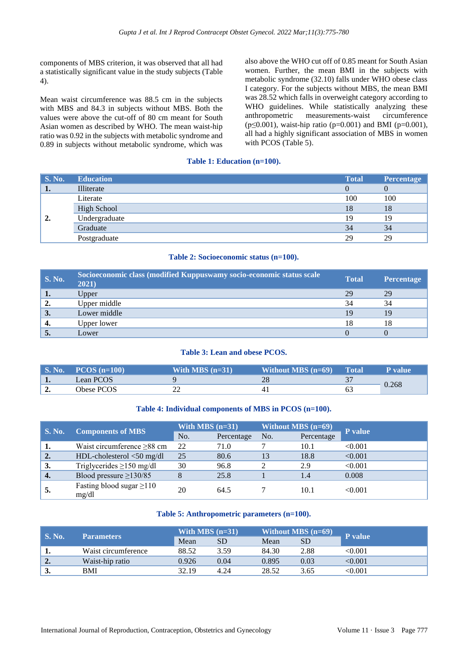components of MBS criterion, it was observed that all had a statistically significant value in the study subjects (Table 4).

Mean waist circumference was 88.5 cm in the subjects with MBS and 84.3 in subjects without MBS. Both the values were above the cut-off of 80 cm meant for South Asian women as described by WHO. The mean waist-hip ratio was 0.92 in the subjects with metabolic syndrome and 0.89 in subjects without metabolic syndrome, which was

also above the WHO cut off of 0.85 meant for South Asian women. Further, the mean BMI in the subjects with metabolic syndrome (32.10) falls under WHO obese class I category. For the subjects without MBS, the mean BMI was 28.52 which falls in overweight category according to WHO guidelines. While statistically analyzing these anthropometric measurements-waist circumference ( $p \le 0.001$ ), waist-hip ratio ( $p = 0.001$ ) and BMI ( $p = 0.001$ ), all had a highly significant association of MBS in women with PCOS (Table 5).

## **Table 1: Education (n=100).**

| <b>S. No.</b> | <b>Education</b> | <b>Total</b> | Percentage |
|---------------|------------------|--------------|------------|
| <b>.</b>      | Illiterate       |              |            |
|               | Literate         | 100          | 100        |
| 2.            | High School      | 18           | 18         |
|               | Undergraduate    | 19           | 19         |
|               | Graduate         | 34           | 34         |
|               | Postgraduate     | 29           | 29         |

#### **Table 2: Socioeconomic status (n=100).**

| <b>S. No.</b> | Socioeconomic class (modified Kuppuswamy socio-economic status scale<br>2021) | <b>Total</b> | <b>Percentage</b> |
|---------------|-------------------------------------------------------------------------------|--------------|-------------------|
| ı.            | Upper                                                                         | 29           | 29                |
| 2.            | Upper middle                                                                  | 34           | 34                |
| 3.            | Lower middle                                                                  | 19           | 19                |
| 4.            | Upper lower                                                                   | 18           | 18                |
| J.            | Lower                                                                         |              |                   |

## **Table 3: Lean and obese PCOS.**

| $\mathbf{S}$ . No. $\mathbf{S}$ | $PCOS$ (n=100) | With MBS $(n=31)$ | Without MBS $(n=69)$ | Total | P value |
|---------------------------------|----------------|-------------------|----------------------|-------|---------|
| $\mathbf{1}$ .                  | Lean PCOS      |                   | 28                   | י כ   |         |
| ٠.                              | Obese PCOS     |                   |                      |       | 0.268   |

## **Table 4: Individual components of MBS in PCOS (n=100).**

| <b>S. No.</b>    | <b>Components of MBS</b>                | With MBS $(n=31)$ |            |     | <b>Without MBS</b> (n=69) | P value |
|------------------|-----------------------------------------|-------------------|------------|-----|---------------------------|---------|
|                  |                                         | No.               | Percentage | No. | Percentage                |         |
| 1.               | Waist circumference $\geq 88$ cm        | 22                | 71.0       |     | 10.1                      | < 0.001 |
| 2.               | $HDL$ -cholesterol $<$ 50 mg/dl         | 25                | 80.6       | 13  | 18.8                      | < 0.001 |
| 3.               | Triglycerides $\geq$ 150 mg/dl          | 30                | 96.8       |     | 2.9                       | < 0.001 |
| $\overline{4}$ . | Blood pressure $\geq$ 130/85            |                   | 25.8       |     | 1.4                       | 0.008   |
| 5.               | Fasting blood sugar $\geq$ 110<br>mg/dl | 20                | 64.5       |     | 10.1                      | < 0.001 |

#### **Table 5: Anthropometric parameters (n=100).**

| S. No. | <b>Parameters</b>   | With MBS $(n=31)$ |      |       | Without MBS $(n=69)$ | P value |
|--------|---------------------|-------------------|------|-------|----------------------|---------|
|        |                     | Mean              | SD   | Mean  | SD                   |         |
|        | Waist circumference | 88.52             | 3.59 | 84.30 | 2.88                 | < 0.001 |
| ∸.     | Waist-hip ratio     | 0.926             | 0.04 | 0.895 | 0.03                 | < 0.001 |
| 3.     | BMI                 | 32.19             | 4.24 | 28.52 | 3.65                 | < 0.001 |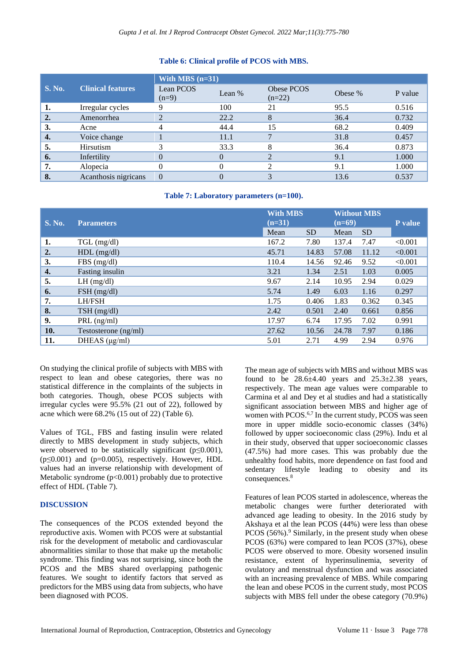## **Table 6: Clinical profile of PCOS with MBS.**

|               |                          | With MBS $(n=31)$    |        |                        |         |         |  |  |
|---------------|--------------------------|----------------------|--------|------------------------|---------|---------|--|--|
| <b>S. No.</b> | <b>Clinical features</b> | Lean PCOS<br>$(n=9)$ | Lean % | Obese PCOS<br>$(n=22)$ | Obese % | P value |  |  |
|               | Irregular cycles         |                      | 100    | 21                     | 95.5    | 0.516   |  |  |
| 2.            | Amenorrhea               |                      | 22.2   | 8                      | 36.4    | 0.732   |  |  |
| 3.            | Acne                     |                      | 44.4   | 15                     | 68.2    | 0.409   |  |  |
| 4.            | Voice change             |                      | 11.1   |                        | 31.8    | 0.457   |  |  |
| 5.            | Hirsutism                | ⌒                    | 33.3   | 8                      | 36.4    | 0.873   |  |  |
| 6.            | Infertility              |                      |        |                        | 9.1     | 1.000   |  |  |
| 7.            | Alopecia                 |                      |        |                        | 9.1     | 1.000   |  |  |
| 8.            | Acanthosis nigricans     | $\theta$             |        |                        | 13.6    | 0.537   |  |  |

#### **Table 7: Laboratory parameters (n=100).**

| <b>S. No.</b>    | <b>Parameters</b>    | <b>With MBS</b><br>$(n=31)$ |           | <b>Without MBS</b><br>$(n=69)$ |           | <b>P</b> value |
|------------------|----------------------|-----------------------------|-----------|--------------------------------|-----------|----------------|
|                  |                      | Mean                        | <b>SD</b> | Mean                           | <b>SD</b> |                |
| 1.               | $TGL$ (mg/dl)        | 167.2                       | 7.80      | 137.4                          | 7.47      | < 0.001        |
| $\overline{2}$ . | $HDL$ (mg/dl)        | 45.71                       | 14.83     | 57.08                          | 11.12     | < 0.001        |
| 3.               | FBS(mg/dl)           | 110.4                       | 14.56     | 92.46                          | 9.52      | < 0.001        |
| 4.               | Fasting insulin      | 3.21                        | 1.34      | 2.51                           | 1.03      | 0.005          |
| 5.               | $LH$ (mg/dl)         | 9.67                        | 2.14      | 10.95                          | 2.94      | 0.029          |
| 6.               | $FSH$ (mg/dl)        | 5.74                        | 1.49      | 6.03                           | 1.16      | 0.297          |
| 7.               | <b>LH/FSH</b>        | 1.75                        | 0.406     | 1.83                           | 0.362     | 0.345          |
| 8.               | $TSH$ (mg/dl)        | 2.42                        | 0.501     | 2.40                           | 0.661     | 0.856          |
| 9.               | $PRL$ (ng/ml)        | 17.97                       | 6.74      | 17.95                          | 7.02      | 0.991          |
| 10.              | Testosterone (ng/ml) | 27.62                       | 10.56     | 24.78                          | 7.97      | 0.186          |
| 11.              | DHEAS $(\mu g/ml)$   | 5.01                        | 2.71      | 4.99                           | 2.94      | 0.976          |

On studying the clinical profile of subjects with MBS with respect to lean and obese categories, there was no statistical difference in the complaints of the subjects in both categories. Though, obese PCOS subjects with irregular cycles were 95.5% (21 out of 22), followed by acne which were 68.2% (15 out of 22) (Table 6).

Values of TGL, FBS and fasting insulin were related directly to MBS development in study subjects, which were observed to be statistically significant ( $p \le 0.001$ ),  $(p \le 0.001)$  and  $(p=0.005)$ , respectively. However, HDL values had an inverse relationship with development of Metabolic syndrome  $(p<0.001)$  probably due to protective effect of HDL (Table 7).

## **DISCUSSION**

The consequences of the PCOS extended beyond the reproductive axis. Women with PCOS were at substantial risk for the development of metabolic and cardiovascular abnormalities similar to those that make up the metabolic syndrome. This finding was not surprising, since both the PCOS and the MBS shared overlapping pathogenic features. We sought to identify factors that served as predictors for the MBS using data from subjects, who have been diagnosed with PCOS.

The mean age of subjects with MBS and without MBS was found to be  $28.6\pm4.40$  years and  $25.3\pm2.38$  years, respectively. The mean age values were comparable to Carmina et al and Dey et al studies and had a statistically significant association between MBS and higher age of women with PCOS.<sup>6,7</sup> In the current study, PCOS was seen more in upper middle socio-economic classes (34%) followed by upper socioeconomic class (29%). Indu et al in their study, observed that upper socioeconomic classes (47.5%) had more cases. This was probably due the unhealthy food habits, more dependence on fast food and sedentary lifestyle leading to obesity and its consequences.<sup>8</sup>

Features of lean PCOS started in adolescence, whereas the metabolic changes were further deteriorated with advanced age leading to obesity. In the 2016 study by Akshaya et al the lean PCOS (44%) were less than obese PCOS  $(56\%)$ .<sup>9</sup> Similarly, in the present study when obese PCOS (63%) were compared to lean PCOS (37%), obese PCOS were observed to more. Obesity worsened insulin resistance, extent of hyperinsulinemia, severity of ovulatory and menstrual dysfunction and was associated with an increasing prevalence of MBS. While comparing the lean and obese PCOS in the current study, most PCOS subjects with MBS fell under the obese category (70.9%)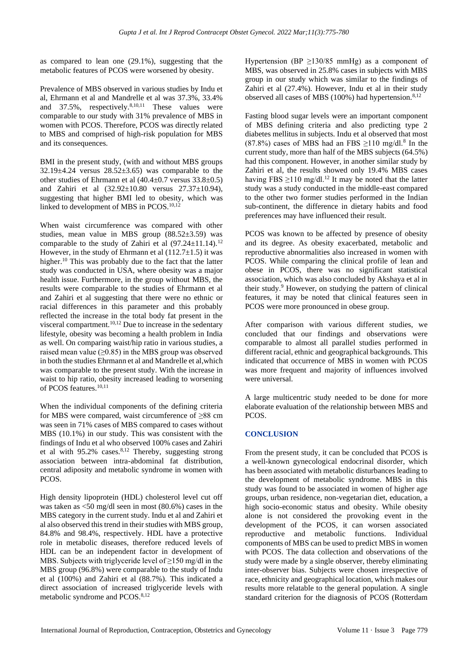as compared to lean one (29.1%), suggesting that the metabolic features of PCOS were worsened by obesity.

Prevalence of MBS observed in various studies by Indu et al, Ehrmann et al and Mandrelle et al was 37.3%, 33.4% and  $37.5\%$ , respectively. <sup>8,10,11</sup> These values were comparable to our study with 31% prevalence of MBS in women with PCOS. Therefore, PCOS was directly related to MBS and comprised of high-risk population for MBS and its consequences.

BMI in the present study, (with and without MBS groups  $32.19\pm4.24$  versus  $28.52\pm3.65$ ) was comparable to the other studies of Ehrmann et al (40.4±0.7 versus 33.8±0.5) and Zahiri et al (32.92±10.80 versus 27.37±10.94), suggesting that higher BMI led to obesity, which was linked to development of MBS in PCOS.<sup>10,12</sup>

When waist circumference was compared with other studies, mean value in MBS group (88.52±3.59) was comparable to the study of Zahiri et al  $(97.24 \pm 11.14).$ <sup>12</sup> However, in the study of Ehrmann et al  $(112.7\pm1.5)$  it was higher.<sup>10</sup> This was probably due to the fact that the latter study was conducted in USA, where obesity was a major health issue. Furthermore, in the group without MBS, the results were comparable to the studies of Ehrmann et al and Zahiri et al suggesting that there were no ethnic or racial differences in this parameter and this probably reflected the increase in the total body fat present in the visceral compartment.<sup>10,12</sup> Due to increase in the sedentary lifestyle, obesity was becoming a health problem in India as well. On comparing waist/hip ratio in various studies, a raised mean value  $(\geq 0.85)$  in the MBS group was observed in both the studies Ehrmann et al and Mandrelle et al,which was comparable to the present study. With the increase in waist to hip ratio, obesity increased leading to worsening of PCOS features.<sup>10,11</sup>

When the individual components of the defining criteria for MBS were compared, waist circumference of ≥88 cm was seen in 71% cases of MBS compared to cases without MBS (10.1%) in our study. This was consistent with the findings of Indu et al who observed 100% cases and Zahiri et al with  $95.2\%$  cases.<sup>8,12</sup> Thereby, suggesting strong association between intra-abdominal fat distribution, central adiposity and metabolic syndrome in women with PCOS.

High density lipoprotein (HDL) cholesterol level cut off was taken as <50 mg/dl seen in most (80.6%) cases in the MBS category in the current study. Indu et al and Zahiri et al also observed this trend in their studies with MBS group, 84.8% and 98.4%, respectively. HDL have a protective role in metabolic diseases, therefore reduced levels of HDL can be an independent factor in development of MBS. Subjects with triglyceride level of  $\geq$ 150 mg/dl in the MBS group (96.8%) were comparable to the study of Indu et al (100%) and Zahiri et al (88.7%). This indicated a direct association of increased triglyceride levels with metabolic syndrome and PCOS.<sup>8,12</sup>

Hypertension (BP  $\geq$ 130/85 mmHg) as a component of MBS, was observed in 25.8% cases in subjects with MBS group in our study which was similar to the findings of Zahiri et al (27.4%). However, Indu et al in their study observed all cases of MBS (100%) had hypertension. $8,12$ 

Fasting blood sugar levels were an important component of MBS defining criteria and also predicting type 2 diabetes mellitus in subjects. Indu et al observed that most  $(87.8\%)$  cases of MBS had an FBS  $\geq$ 110 mg/dl.<sup>8</sup> In the current study, more than half of the MBS subjects (64.5%) had this component. However, in another similar study by Zahiri et al, the results showed only 19.4% MBS cases having FBS  $\geq$ 110 mg/dl.<sup>12</sup> It may be noted that the latter study was a study conducted in the middle-east compared to the other two former studies performed in the Indian sub-continent, the difference in dietary habits and food preferences may have influenced their result.

PCOS was known to be affected by presence of obesity and its degree. As obesity exacerbated, metabolic and reproductive abnormalities also increased in women with PCOS. While comparing the clinical profile of lean and obese in PCOS, there was no significant statistical association, which was also concluded by Akshaya et al in their study.<sup>9</sup> However, on studying the pattern of clinical features, it may be noted that clinical features seen in PCOS were more pronounced in obese group.

After comparison with various different studies, we concluded that our findings and observations were comparable to almost all parallel studies performed in different racial, ethnic and geographical backgrounds. This indicated that occurrence of MBS in women with PCOS was more frequent and majority of influences involved were universal.

A large multicentric study needed to be done for more elaborate evaluation of the relationship between MBS and PCOS.

## **CONCLUSION**

From the present study, it can be concluded that PCOS is a well-known gynecological endocrinal disorder, which has been associated with metabolic disturbances leading to the development of metabolic syndrome. MBS in this study was found to be associated in women of higher age groups, urban residence, non-vegetarian diet, education, a high socio-economic status and obesity. While obesity alone is not considered the provoking event in the development of the PCOS, it can worsen associated reproductive and metabolic functions. Individual components of MBS can be used to predict MBS in women with PCOS. The data collection and observations of the study were made by a single observer, thereby eliminating inter-observer bias. Subjects were chosen irrespective of race, ethnicity and geographical location, which makes our results more relatable to the general population. A single standard criterion for the diagnosis of PCOS (Rotterdam